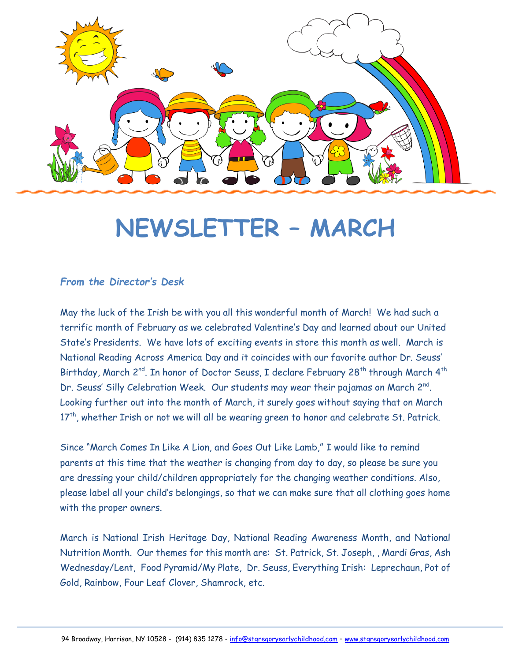

# **NEWSLETTER – MARCH**

#### *From the Director's Desk*

May the luck of the Irish be with you all this wonderful month of March! We had such a terrific month of February as we celebrated Valentine's Day and learned about our United State's Presidents. We have lots of exciting events in store this month as well. March is National Reading Across America Day and it coincides with our favorite author Dr. Seuss' Birthday, March 2<sup>nd</sup>. In honor of Doctor Seuss, I declare February 28<sup>th</sup> through March 4<sup>th</sup> Dr. Seuss' Silly Celebration Week. Our students may wear their pajamas on March 2<sup>nd</sup>. Looking further out into the month of March, it surely goes without saying that on March  $17<sup>th</sup>$ , whether Irish or not we will all be wearing green to honor and celebrate St. Patrick.

Since "March Comes In Like A Lion, and Goes Out Like Lamb," I would like to remind parents at this time that the weather is changing from day to day, so please be sure you are dressing your child/children appropriately for the changing weather conditions. Also, please label all your child's belongings, so that we can make sure that all clothing goes home with the proper owners.

March is National Irish Heritage Day, National Reading Awareness Month, and National Nutrition Month. Our themes for this month are: St. Patrick, St. Joseph, , Mardi Gras, Ash Wednesday/Lent, Food Pyramid/My Plate, Dr. Seuss, Everything Irish: Leprechaun, Pot of Gold, Rainbow, Four Leaf Clover, Shamrock, etc.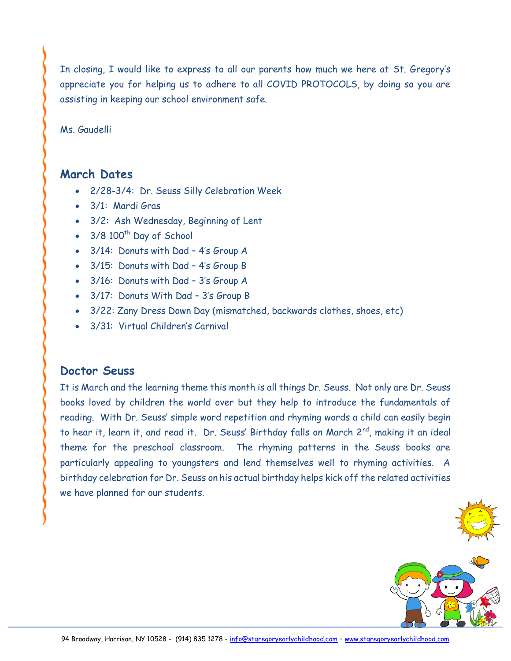In closing, I would like to express to all our parents how much we here at St. Gregory's appreciate you for helping us to adhere to all COVID PROTOCOLS, by doing so you are assisting in keeping our school environment safe.

Ms. Gaudelli

## **March Dates**

- 2/28-3/4: Dr. Seuss Silly Celebration Week
- 3/1: Mardi Gras
- 3/2: Ash Wednesday, Beginning of Lent
- $\cdot$  3/8 100<sup>th</sup> Day of School
- 3/14: Donuts with Dad 4's Group A
- 3/15: Donuts with Dad 4's Group B
- 3/16: Donuts with Dad 3's Group A
- 3/17: Donuts With Dad 3's Group B
- 3/22: Zany Dress Down Day (mismatched, backwards clothes, shoes, etc)
- 3/31: Virtual Children's Carnival

## **Doctor Seuss**

It is March and the learning theme this month is all things Dr. Seuss. Not only are Dr. Seuss books loved by children the world over but they help to introduce the fundamentals of reading. With Dr. Seuss' simple word repetition and rhyming words a child can easily begin to hear it, learn it, and read it. Dr. Seuss' Birthday falls on March 2<sup>nd</sup>, making it an ideal theme for the preschool classroom. The rhyming patterns in the Seuss books are particularly appealing to youngsters and lend themselves well to rhyming activities. A birthday celebration for Dr. Seuss on his actual birthday helps kick off the related activities we have planned for our students.



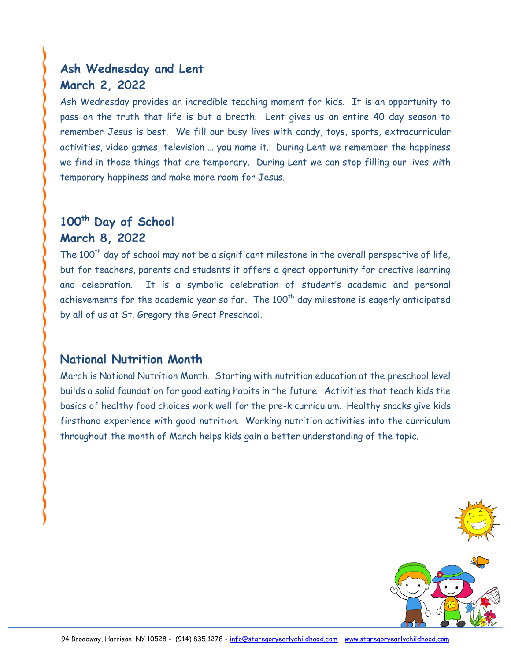# **Ash Wednesday and Lent March 2, 2022**

Ash Wednesday provides an incredible teaching moment for kids. It is an opportunity to pass on the truth that life is but a breath. Lent gives us an entire 40 day season to remember Jesus is best. We fill our busy lives with candy, toys, sports, extracurricular activities, video games, television … you name it. During Lent we remember the happiness we find in those things that are temporary. During Lent we can stop filling our lives with temporary happiness and make more room for Jesus.

# **100th Day of School March 8, 2022**

The  $100<sup>th</sup>$  day of school may not be a significant milestone in the overall perspective of life, but for teachers, parents and students it offers a great opportunity for creative learning and celebration. It is a symbolic celebration of student's academic and personal achievements for the academic year so far. The  $100<sup>th</sup>$  day milestone is eagerly anticipated by all of us at St. Gregory the Great Preschool.

## **National Nutrition Month**

March is National Nutrition Month. Starting with nutrition education at the preschool level builds a solid foundation for good eating habits in the future. Activities that teach kids the basics of healthy food choices work well for the pre-k curriculum. Healthy snacks give kids firsthand experience with good nutrition. Working nutrition activities into the curriculum throughout the month of March helps kids gain a better understanding of the topic.



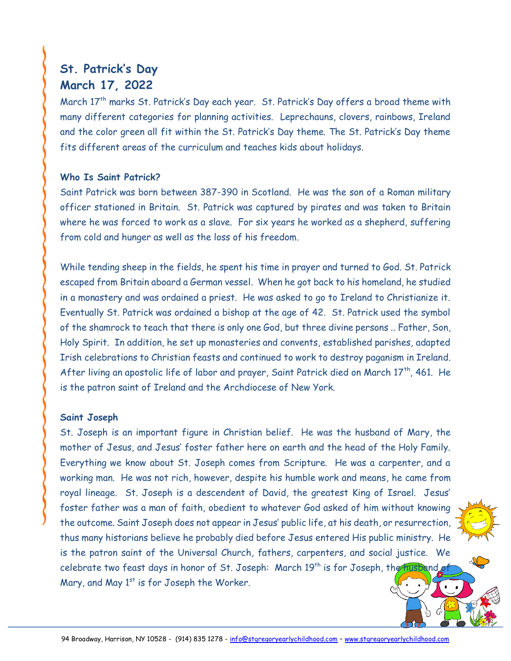# **St. Patrick's Day March 17, 2022**

March 17<sup>th</sup> marks St. Patrick's Day each year. St. Patrick's Day offers a broad theme with many different categories for planning activities. Leprechauns, clovers, rainbows, Ireland and the color green all fit within the St. Patrick's Day theme. The St. Patrick's Day theme fits different areas of the curriculum and teaches kids about holidays.

#### **Who Is Saint Patrick?**

Saint Patrick was born between 387-390 in Scotland. He was the son of a Roman military officer stationed in Britain. St. Patrick was captured by pirates and was taken to Britain where he was forced to work as a slave. For six years he worked as a shepherd, suffering from cold and hunger as well as the loss of his freedom.

While tending sheep in the fields, he spent his time in prayer and turned to God. St. Patrick escaped from Britain aboard a German vessel. When he got back to his homeland, he studied in a monastery and was ordained a priest. He was asked to go to Ireland to Christianize it. Eventually St. Patrick was ordained a bishop at the age of 42. St. Patrick used the symbol of the shamrock to teach that there is only one God, but three divine persons .. Father, Son, Holy Spirit. In addition, he set up monasteries and convents, established parishes, adapted Irish celebrations to Christian feasts and continued to work to destroy paganism in Ireland. After living an apostolic life of labor and prayer, Saint Patrick died on March  $17<sup>th</sup>$ , 461. He is the patron saint of Ireland and the Archdiocese of New York.

#### **Saint Joseph**

St. Joseph is an important figure in Christian belief. He was the husband of Mary, the mother of Jesus, and Jesus' foster father here on earth and the head of the Holy Family. Everything we know about St. Joseph comes from Scripture. He was a carpenter, and a working man. He was not rich, however, despite his humble work and means, he came from royal lineage. St. Joseph is a descendent of David, the greatest King of Israel. Jesus' foster father was a man of faith, obedient to whatever God asked of him without knowing the outcome. Saint Joseph does not appear in Jesus' public life, at his death, or resurrection, thus many historians believe he probably died before Jesus entered His public ministry. He is the patron saint of the Universal Church, fathers, carpenters, and social justice. We celebrate two feast days in honor of St. Joseph: March 19<sup>th</sup> is for Joseph, the husband Mary, and May  $1<sup>st</sup>$  is for Joseph the Worker.

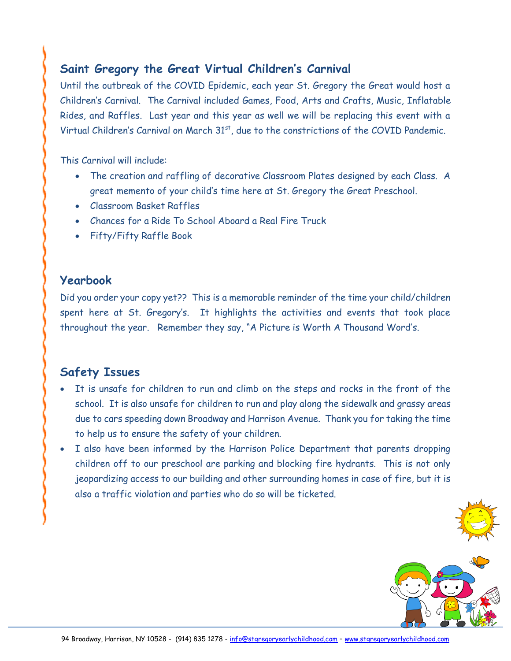## **Saint Gregory the Great Virtual Children's Carnival**

Until the outbreak of the COVID Epidemic, each year St. Gregory the Great would host a Children's Carnival. The Carnival included Games, Food, Arts and Crafts, Music, Inflatable Rides, and Raffles. Last year and this year as well we will be replacing this event with a Virtual Children's Carnival on March 31<sup>st</sup>, due to the constrictions of the COVID Pandemic.

This Carnival will include:

- The creation and raffling of decorative Classroom Plates designed by each Class. A great memento of your child's time here at St. Gregory the Great Preschool.
- Classroom Basket Raffles
- Chances for a Ride To School Aboard a Real Fire Truck
- Fifty/Fifty Raffle Book

## **Yearbook**

Did you order your copy yet?? This is a memorable reminder of the time your child/children spent here at St. Gregory's. It highlights the activities and events that took place throughout the year. Remember they say, "A Picture is Worth A Thousand Word's.

# **Safety Issues**

- It is unsafe for children to run and climb on the steps and rocks in the front of the school. It is also unsafe for children to run and play along the sidewalk and grassy areas due to cars speeding down Broadway and Harrison Avenue. Thank you for taking the time to help us to ensure the safety of your children.
- I also have been informed by the Harrison Police Department that parents dropping children off to our preschool are parking and blocking fire hydrants. This is not only jeopardizing access to our building and other surrounding homes in case of fire, but it is also a traffic violation and parties who do so will be ticketed.